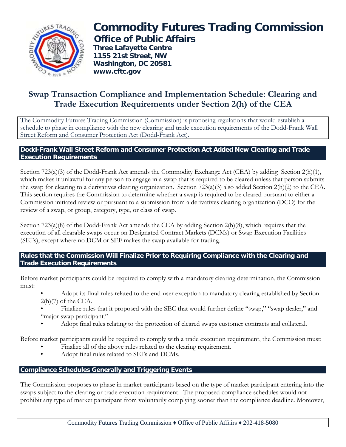

# **Commodity Futures Trading Commission Office of Public Affairs**

**Three Lafayette Centre 1155 21st Street, NW Washington, DC 20581 www.cftc.gov**

# **Swap Transaction Compliance and Implementation Schedule: Clearing and Trade Execution Requirements under Section 2(h) of the CEA**

The Commodity Futures Trading Commission (Commission) is proposing regulations that would establish a schedule to phase in compliance with the new clearing and trade execution requirements of the Dodd-Frank Wall Street Reform and Consumer Protection Act (Dodd-Frank Act).

## **Dodd-Frank Wall Street Reform and Consumer Protection Act Added New Clearing and Trade Execution Requirements**

Section 723(a)(3) of the Dodd-Frank Act amends the Commodity Exchange Act (CEA) by adding Section 2(h)(1), which makes it unlawful for any person to engage in a swap that is required to be cleared unless that person submits the swap for clearing to a derivatives clearing organization. Section 723(a)(3) also added Section 2(h)(2) to the CEA. This section requires the Commission to determine whether a swap is required to be cleared pursuant to either a Commission initiated review or pursuant to a submission from a derivatives clearing organization (DCO) for the review of a swap, or group, category, type, or class of swap.

Section 723(a)(8) of the Dodd-Frank Act amends the CEA by adding Section 2(h)(8), which requires that the execution of all clearable swaps occur on Designated Contract Markets (DCMs) or Swap Execution Facilities (SEFs), except where no DCM or SEF makes the swap available for trading.

#### **Rules that the Commission Will Finalize Prior to Requiring Compliance with the Clearing and Trade Execution Requirements**

Before market participants could be required to comply with a mandatory clearing determination, the Commission must:

- Adopt its final rules related to the end-user exception to mandatory clearing established by Section  $2(h)(7)$  of the CEA.
- Finalize rules that it proposed with the SEC that would further define "swap," "swap dealer," and "major swap participant."
- Adopt final rules relating to the protection of cleared swaps customer contracts and collateral.

Before market participants could be required to comply with a trade execution requirement, the Commission must:

- Finalize all of the above rules related to the clearing requirement.
- Adopt final rules related to SEFs and DCMs.

# **Compliance Schedules Generally and Triggering Events**

The Commission proposes to phase in market participants based on the type of market participant entering into the swaps subject to the clearing or trade execution requirement. The proposed compliance schedules would not prohibit any type of market participant from voluntarily complying sooner than the compliance deadline. Moreover,

Commodity Futures Trading Commission ♦ Office of Public Affairs ♦ 202-418-5080